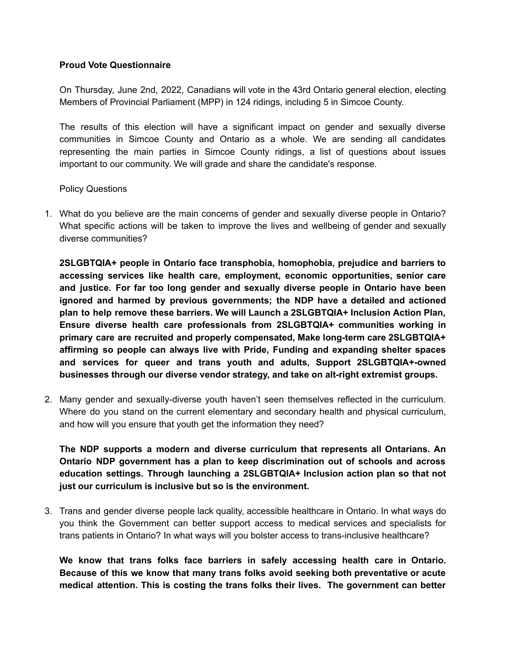# **Proud Vote Questionnaire**

On Thursday, June 2nd, 2022, Canadians will vote in the 43rd Ontario general election, electing Members of Provincial Parliament (MPP) in 124 ridings, including 5 in Simcoe County.

The results of this election will have a significant impact on gender and sexually diverse communities in Simcoe County and Ontario as a whole. We are sending all candidates representing the main parties in Simcoe County ridings, a list of questions about issues important to our community. We will grade and share the candidate's response.

Policy Questions

1. What do you believe are the main concerns of gender and sexually diverse people in Ontario? What specific actions will be taken to improve the lives and wellbeing of gender and sexually diverse communities?

**2SLGBTQIA+ people in Ontario face transphobia, homophobia, prejudice and barriers to accessing services like health care, employment, economic opportunities, senior care and justice. For far too long gender and sexually diverse people in Ontario have been ignored and harmed by previous governments; the NDP have a detailed and actioned plan to help remove these barriers. We will Launch a 2SLGBTQIA+ Inclusion Action Plan, Ensure diverse health care professionals from 2SLGBTQIA+ communities working in primary care are recruited and properly compensated, Make long-term care 2SLGBTQIA+ affirming so people can always live with Pride, Funding and expanding shelter spaces and services for queer and trans youth and adults, Support 2SLGBTQIA+-owned businesses through our diverse vendor strategy, and take on alt-right extremist groups.**

2. Many gender and sexually-diverse youth haven't seen themselves reflected in the curriculum. Where do you stand on the current elementary and secondary health and physical curriculum, and how will you ensure that youth get the information they need?

**The NDP supports a modern and diverse curriculum that represents all Ontarians. An Ontario NDP government has a plan to keep discrimination out of schools and across education settings. Through launching a 2SLGBTQIA+ Inclusion action plan so that not just our curriculum is inclusive but so is the environment.**

3. Trans and gender diverse people lack quality, accessible healthcare in Ontario. In what ways do you think the Government can better support access to medical services and specialists for trans patients in Ontario? In what ways will you bolster access to trans-inclusive healthcare?

**We know that trans folks face barriers in safely accessing health care in Ontario. Because of this we know that many trans folks avoid seeking both preventative or acute medical attention. This is costing the trans folks their lives. The government can better**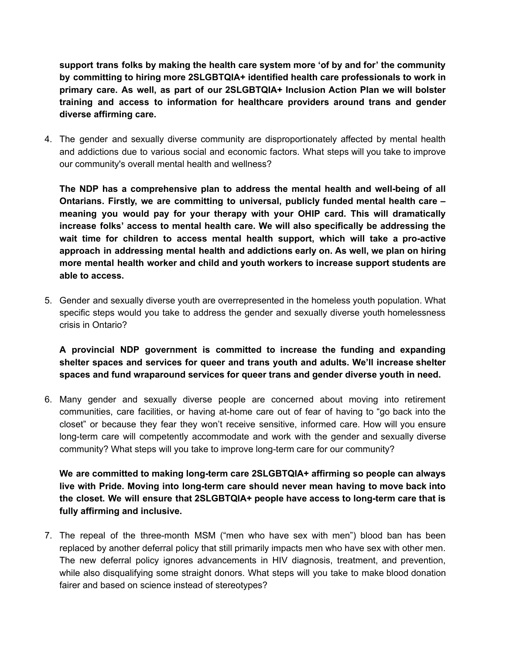**support trans folks by making the health care system more 'of by and for' the community by committing to hiring more 2SLGBTQIA+ identified health care professionals to work in primary care. As well, as part of our 2SLGBTQIA+ Inclusion Action Plan we will bolster training and access to information for healthcare providers around trans and gender diverse affirming care.**

4. The gender and sexually diverse community are disproportionately affected by mental health and addictions due to various social and economic factors. What steps will you take to improve our community's overall mental health and wellness?

**The NDP has a comprehensive plan to address the mental health and well-being of all Ontarians. Firstly, we are committing to universal, publicly funded mental health care – meaning you would pay for your therapy with your OHIP card. This will dramatically increase folks' access to mental health care. We will also specifically be addressing the wait time for children to access mental health support, which will take a pro-active approach in addressing mental health and addictions early on. As well, we plan on hiring more mental health worker and child and youth workers to increase support students are able to access.**

5. Gender and sexually diverse youth are overrepresented in the homeless youth population. What specific steps would you take to address the gender and sexually diverse youth homelessness crisis in Ontario?

**A provincial NDP government is committed to increase the funding and expanding shelter spaces and services for queer and trans youth and adults. We'll increase shelter spaces and fund wraparound services for queer trans and gender diverse youth in need.**

6. Many gender and sexually diverse people are concerned about moving into retirement communities, care facilities, or having at-home care out of fear of having to "go back into the closet" or because they fear they won't receive sensitive, informed care. How will you ensure long-term care will competently accommodate and work with the gender and sexually diverse community? What steps will you take to improve long-term care for our community?

**We are committed to making long-term care 2SLGBTQIA+ affirming so people can always live with Pride. Moving into long-term care should never mean having to move back into the closet. We will ensure that 2SLGBTQIA+ people have access to long-term care that is fully affirming and inclusive.**

7. The repeal of the three-month MSM ("men who have sex with men") blood ban has been replaced by another deferral policy that still primarily impacts men who have sex with other men. The new deferral policy ignores advancements in HIV diagnosis, treatment, and prevention, while also disqualifying some straight donors. What steps will you take to make blood donation fairer and based on science instead of stereotypes?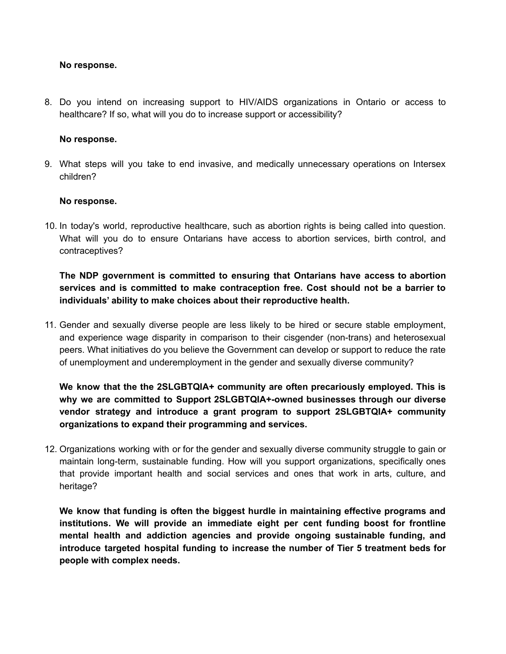#### **No response.**

8. Do you intend on increasing support to HIV/AIDS organizations in Ontario or access to healthcare? If so, what will you do to increase support or accessibility?

#### **No response.**

9. What steps will you take to end invasive, and medically unnecessary operations on Intersex children?

#### **No response.**

10. In today's world, reproductive healthcare, such as abortion rights is being called into question. What will you do to ensure Ontarians have access to abortion services, birth control, and contraceptives?

# **The NDP government is committed to ensuring that Ontarians have access to abortion services and is committed to make contraception free. Cost should not be a barrier to individuals' ability to make choices about their reproductive health.**

11. Gender and sexually diverse people are less likely to be hired or secure stable employment, and experience wage disparity in comparison to their cisgender (non-trans) and heterosexual peers. What initiatives do you believe the Government can develop or support to reduce the rate of unemployment and underemployment in the gender and sexually diverse community?

**We know that the the 2SLGBTQIA+ community are often precariously employed. This is why we are committed to Support 2SLGBTQIA+-owned businesses through our diverse vendor strategy and introduce a grant program to support 2SLGBTQIA+ community organizations to expand their programming and services.**

12. Organizations working with or for the gender and sexually diverse community struggle to gain or maintain long-term, sustainable funding. How will you support organizations, specifically ones that provide important health and social services and ones that work in arts, culture, and heritage?

**We know that funding is often the biggest hurdle in maintaining effective programs and institutions. We will provide an immediate eight per cent funding boost for frontline mental health and addiction agencies and provide ongoing sustainable funding, and introduce targeted hospital funding to increase the number of Tier 5 treatment beds for people with complex needs.**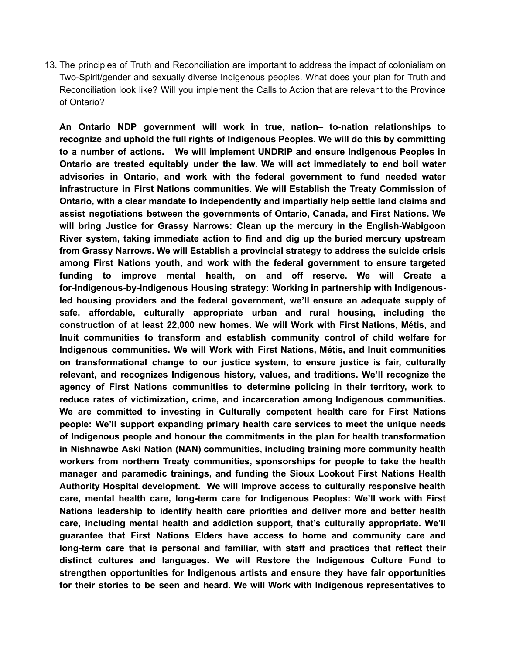13. The principles of Truth and Reconciliation are important to address the impact of colonialism on Two-Spirit/gender and sexually diverse Indigenous peoples. What does your plan for Truth and Reconciliation look like? Will you implement the Calls to Action that are relevant to the Province of Ontario?

**An Ontario NDP government will work in true, nation– to-nation relationships to recognize and uphold the full rights of Indigenous Peoples. We will do this by committing to a number of actions. We will implement UNDRIP and ensure Indigenous Peoples in Ontario are treated equitably under the law. We will act immediately to end boil water advisories in Ontario, and work with the federal government to fund needed water infrastructure in First Nations communities. We will Establish the Treaty Commission of Ontario, with a clear mandate to independently and impartially help settle land claims and assist negotiations between the governments of Ontario, Canada, and First Nations. We will bring Justice for Grassy Narrows: Clean up the mercury in the English-Wabigoon River system, taking immediate action to find and dig up the buried mercury upstream from Grassy Narrows. We will Establish a provincial strategy to address the suicide crisis among First Nations youth, and work with the federal government to ensure targeted funding to improve mental health, on and off reserve. We will Create a for-Indigenous-by-Indigenous Housing strategy: Working in partnership with Indigenousled housing providers and the federal government, we'll ensure an adequate supply of safe, affordable, culturally appropriate urban and rural housing, including the construction of at least 22,000 new homes. We will Work with First Nations, Métis, and Inuit communities to transform and establish community control of child welfare for Indigenous communities. We will Work with First Nations, Métis, and Inuit communities on transformational change to our justice system, to ensure justice is fair, culturally relevant, and recognizes Indigenous history, values, and traditions. We'll recognize the agency of First Nations communities to determine policing in their territory, work to reduce rates of victimization, crime, and incarceration among Indigenous communities. We are committed to investing in Culturally competent health care for First Nations people: We'll support expanding primary health care services to meet the unique needs of Indigenous people and honour the commitments in the plan for health transformation in Nishnawbe Aski Nation (NAN) communities, including training more community health workers from northern Treaty communities, sponsorships for people to take the health manager and paramedic trainings, and funding the Sioux Lookout First Nations Health Authority Hospital development. We will Improve access to culturally responsive health care, mental health care, long-term care for Indigenous Peoples: We'll work with First Nations leadership to identify health care priorities and deliver more and better health care, including mental health and addiction support, that's culturally appropriate. We'll guarantee that First Nations Elders have access to home and community care and long-term care that is personal and familiar, with staff and practices that reflect their distinct cultures and languages. We will Restore the Indigenous Culture Fund to strengthen opportunities for Indigenous artists and ensure they have fair opportunities for their stories to be seen and heard. We will Work with Indigenous representatives to**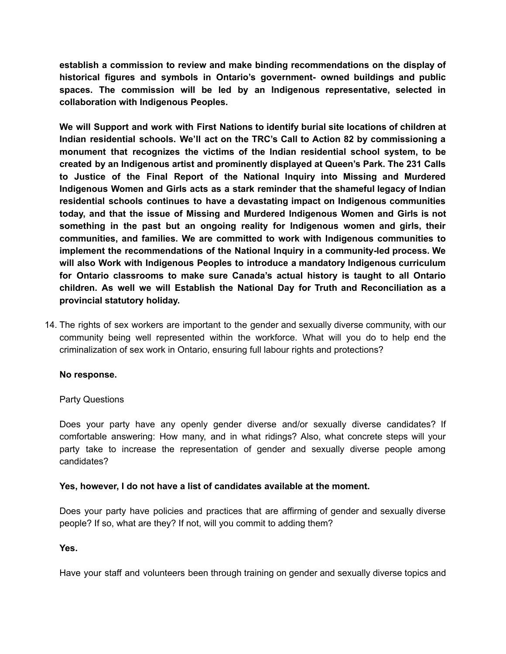**establish a commission to review and make binding recommendations on the display of historical figures and symbols in Ontario's government- owned buildings and public spaces. The commission will be led by an Indigenous representative, selected in collaboration with Indigenous Peoples.**

**We will Support and work with First Nations to identify burial site locations of children at Indian residential schools. We'll act on the TRC's Call to Action 82 by commissioning a monument that recognizes the victims of the Indian residential school system, to be created by an Indigenous artist and prominently displayed at Queen's Park. The 231 Calls to Justice of the Final Report of the National Inquiry into Missing and Murdered Indigenous Women and Girls acts as a stark reminder that the shameful legacy of Indian residential schools continues to have a devastating impact on Indigenous communities today, and that the issue of Missing and Murdered Indigenous Women and Girls is not something in the past but an ongoing reality for Indigenous women and girls, their communities, and families. We are committed to work with Indigenous communities to implement the recommendations of the National Inquiry in a community-led process. We will also Work with Indigenous Peoples to introduce a mandatory Indigenous curriculum for Ontario classrooms to make sure Canada's actual history is taught to all Ontario children. As well we will Establish the National Day for Truth and Reconciliation as a provincial statutory holiday.**

14. The rights of sex workers are important to the gender and sexually diverse community, with our community being well represented within the workforce. What will you do to help end the criminalization of sex work in Ontario, ensuring full labour rights and protections?

# **No response.**

# Party Questions

Does your party have any openly gender diverse and/or sexually diverse candidates? If comfortable answering: How many, and in what ridings? Also, what concrete steps will your party take to increase the representation of gender and sexually diverse people among candidates?

# **Yes, however, I do not have a list of candidates available at the moment.**

Does your party have policies and practices that are affirming of gender and sexually diverse people? If so, what are they? If not, will you commit to adding them?

# **Yes.**

Have your staff and volunteers been through training on gender and sexually diverse topics and